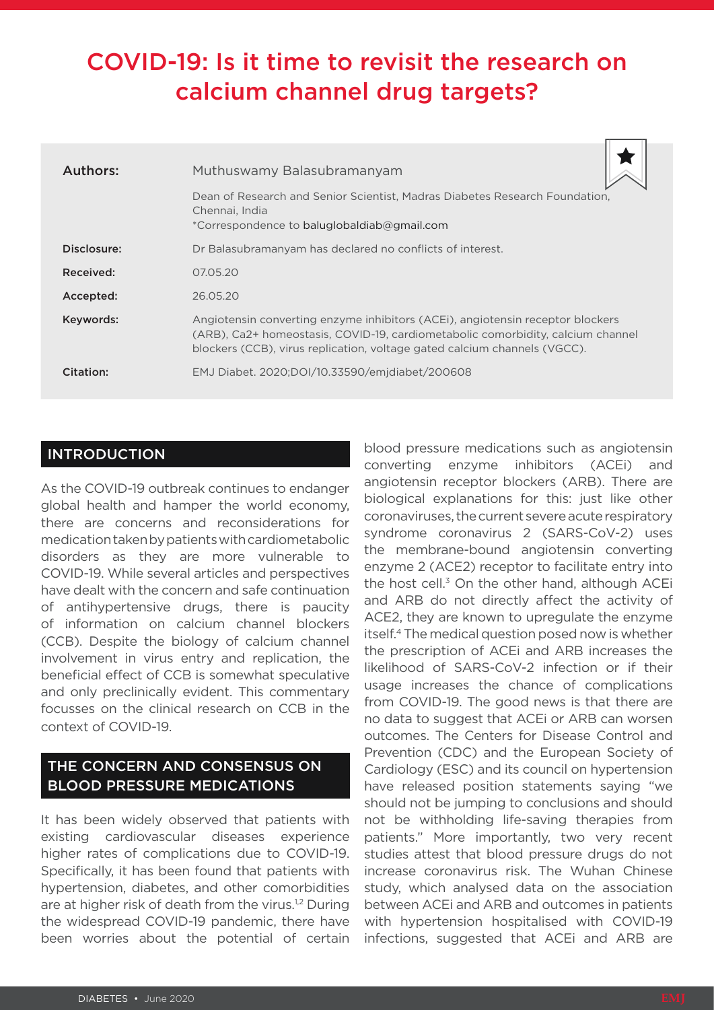# COVID-19: Is it time to revisit the research on calcium channel drug targets?

| Authors:    | Muthuswamy Balasubramanyam                                                                                                                                                                                                                     |
|-------------|------------------------------------------------------------------------------------------------------------------------------------------------------------------------------------------------------------------------------------------------|
|             | Dean of Research and Senior Scientist, Madras Diabetes Research Foundation,<br>Chennai, India<br>*Correspondence to baluglobaldiab@gmail.com                                                                                                   |
| Disclosure: | Dr Balasubramanyam has declared no conflicts of interest.                                                                                                                                                                                      |
| Received:   | 07.05.20                                                                                                                                                                                                                                       |
| Accepted:   | 26.05.20                                                                                                                                                                                                                                       |
| Keywords:   | Angiotensin converting enzyme inhibitors (ACEI), angiotensin receptor blockers<br>(ARB), Ca2+ homeostasis, COVID-19, cardiometabolic comorbidity, calcium channel<br>blockers (CCB), virus replication, voltage gated calcium channels (VGCC). |
| Citation:   | EMJ Diabet. 2020;DOI/10.33590/emjdiabet/200608                                                                                                                                                                                                 |

#### INTRODUCTION

As the COVID-19 outbreak continues to endanger global health and hamper the world economy, there are concerns and reconsiderations for medication taken by patients with cardiometabolic disorders as they are more vulnerable to COVID-19. While several articles and perspectives have dealt with the concern and safe continuation of antihypertensive drugs, there is paucity of information on calcium channel blockers (CCB). Despite the biology of calcium channel involvement in virus entry and replication, the beneficial effect of CCB is somewhat speculative and only preclinically evident. This commentary focusses on the clinical research on CCB in the context of COVID-19.

## THE CONCERN AND CONSENSUS ON BLOOD PRESSURE MEDICATIONS

It has been widely observed that patients with existing cardiovascular diseases experience higher rates of complications due to COVID-19. Specifically, it has been found that patients with hypertension, diabetes, and other comorbidities are at higher risk of death from the virus.<sup>1,2</sup> During the widespread COVID-19 pandemic, there have been worries about the potential of certain

blood pressure medications such as angiotensin converting enzyme inhibitors (ACEi) and angiotensin receptor blockers (ARB). There are biological explanations for this: just like other coronaviruses, the current severe acute respiratory syndrome coronavirus 2 (SARS-CoV-2) uses the membrane-bound angiotensin converting enzyme 2 (ACE2) receptor to facilitate entry into the host cell. $3$  On the other hand, although ACEi and ARB do not directly affect the activity of ACE2, they are known to upregulate the enzyme itself.4 The medical question posed now is whether the prescription of ACEi and ARB increases the likelihood of SARS-CoV-2 infection or if their usage increases the chance of complications from COVID-19. The good news is that there are no data to suggest that ACEi or ARB can worsen outcomes. The Centers for Disease Control and Prevention (CDC) and the European Society of Cardiology (ESC) and its council on hypertension have released position statements saying "we should not be jumping to conclusions and should not be withholding life-saving therapies from patients." More importantly, two very recent studies attest that blood pressure drugs do not increase coronavirus risk. The Wuhan Chinese study, which analysed data on the association between ACEi and ARB and outcomes in patients with hypertension hospitalised with COVID-19 infections, suggested that ACEi and ARB are

 $\mathbb T$  . The  $\mathbb T$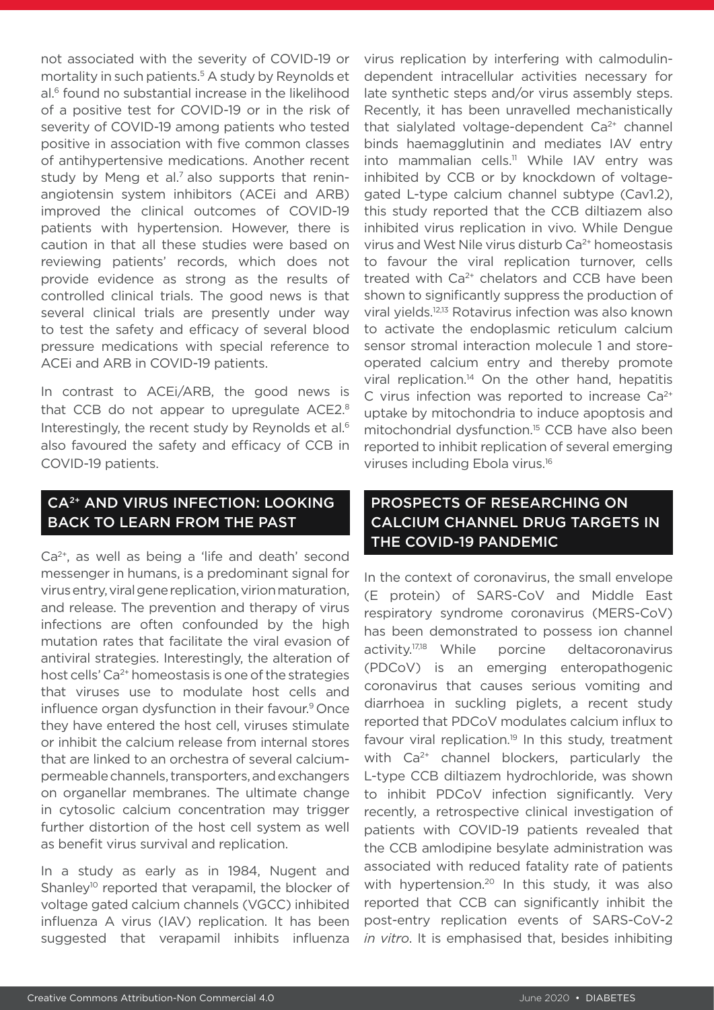not associated with the severity of COVID-19 or mortality in such patients.<sup>5</sup> A study by Reynolds et al.6 found no substantial increase in the likelihood of a positive test for COVID-19 or in the risk of severity of COVID-19 among patients who tested positive in association with five common classes of antihypertensive medications. Another recent study by Meng et al.<sup>7</sup> also supports that reninangiotensin system inhibitors (ACEi and ARB) improved the clinical outcomes of COVID-19 patients with hypertension. However, there is caution in that all these studies were based on reviewing patients' records, which does not provide evidence as strong as the results of controlled clinical trials. The good news is that several clinical trials are presently under way to test the safety and efficacy of several blood pressure medications with special reference to ACEi and ARB in COVID-19 patients.

In contrast to ACEi/ARB, the good news is that CCB do not appear to upregulate ACE2.<sup>8</sup> Interestingly, the recent study by Reynolds et al.<sup>6</sup> also favoured the safety and efficacy of CCB in COVID-19 patients.

## CA2+ AND VIRUS INFECTION: LOOKING BACK TO LEARN FROM THE PAST

Ca<sup>2+</sup>, as well as being a 'life and death' second messenger in humans, is a predominant signal for virus entry, viral gene replication, virion maturation, and release. The prevention and therapy of virus infections are often confounded by the high mutation rates that facilitate the viral evasion of antiviral strategies. Interestingly, the alteration of host cells' Ca2+ homeostasis is one of the strategies that viruses use to modulate host cells and influence organ dysfunction in their favour.<sup>9</sup> Once they have entered the host cell, viruses stimulate or inhibit the calcium release from internal stores that are linked to an orchestra of several calciumpermeable channels, transporters, and exchangers on organellar membranes. The ultimate change in cytosolic calcium concentration may trigger further distortion of the host cell system as well as benefit virus survival and replication.

In a study as early as in 1984, Nugent and Shanley<sup>10</sup> reported that verapamil, the blocker of voltage gated calcium channels (VGCC) inhibited influenza A virus (IAV) replication. It has been suggested that verapamil inhibits influenza

virus replication by interfering with calmodulindependent intracellular activities necessary for late synthetic steps and/or virus assembly steps. Recently, it has been unravelled mechanistically that sialylated voltage-dependent  $Ca<sup>2+</sup>$  channel binds haemagglutinin and mediates IAV entry into mammalian cells.<sup>11</sup> While IAV entry was inhibited by CCB or by knockdown of voltagegated L-type calcium channel subtype (Cav1.2), this study reported that the CCB diltiazem also inhibited virus replication in vivo. While Dengue virus and West Nile virus disturb Ca2+ homeostasis to favour the viral replication turnover, cells treated with  $Ca<sup>2+</sup>$  chelators and CCB have been shown to significantly suppress the production of viral yields.12,13 Rotavirus infection was also known to activate the endoplasmic reticulum calcium sensor stromal interaction molecule 1 and storeoperated calcium entry and thereby promote viral replication.14 On the other hand, hepatitis C virus infection was reported to increase  $Ca<sup>2+</sup>$ uptake by mitochondria to induce apoptosis and mitochondrial dysfunction.15 CCB have also been reported to inhibit replication of several emerging viruses including Ebola virus.16

### PROSPECTS OF RESEARCHING ON CALCIUM CHANNEL DRUG TARGETS IN THE COVID-19 PANDEMIC

In the context of coronavirus, the small envelope (E protein) of SARS-CoV and Middle East respiratory syndrome coronavirus (MERS-CoV) has been demonstrated to possess ion channel activity.17,18 While porcine deltacoronavirus (PDCoV) is an emerging enteropathogenic coronavirus that causes serious vomiting and diarrhoea in suckling piglets, a recent study reported that PDCoV modulates calcium influx to favour viral replication.<sup>19</sup> In this study, treatment with Ca<sup>2+</sup> channel blockers, particularly the L-type CCB diltiazem hydrochloride, was shown to inhibit PDCoV infection significantly. Very recently, a retrospective clinical investigation of patients with COVID-19 patients revealed that the CCB amlodipine besylate administration was associated with reduced fatality rate of patients with hypertension.<sup>20</sup> In this study, it was also reported that CCB can significantly inhibit the post-entry replication events of SARS-CoV-2 *in vitro*. It is emphasised that, besides inhibiting